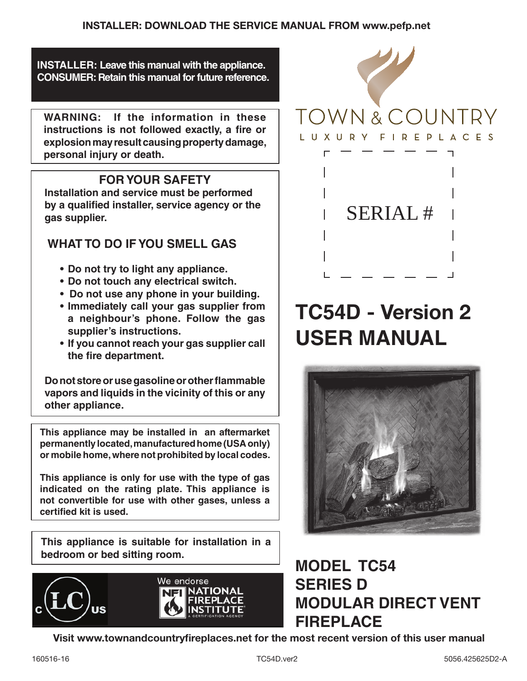**INSTALLER: Leave this manual with the appliance. CONSUMER: Retain this manual for future reference.**

**WARNING: If the information in these**  instructions is not followed exactly, a fire or **explosion may result causing property damage, personal injury or death.**

# **FOR YOUR SAFETY**

**Installation and service must be performed**  by a qualified installer, service agency or the **gas supplier.**

# **WHAT TO DO IF YOU SMELL GAS**

- **• Do not try to light any appliance.**
- **Do not touch any electrical switch.**
- **•** Do not use any phone in your building.
- **• Immediately call your gas supplier from a neighbour's phone. Follow the gas supplier's instructions.**
- **If you cannot reach your gas supplier call** the fire department.

**Do not store or use gasoline or other flammable vapors and liquids in the vicinity of this or any other appliance.**

**This appliance may be installed in an aftermarket permanently located, manufactured home (USA only) or mobile home, where not prohibited by local codes.**

**This appliance is only for use with the type of gas indicated on the rating plate. This appliance is not convertible for use with other gases, unless a certied kit is used.**

**This appliance is suitable for installation in a bedroom or bed sitting room.**





# **TC54D** - Version 2 **USER MANUAL**



# **MODEL TC54 SERIES D MODULAR DIRECT VENT FIREPLACE**

Visit www.townandcountryfireplaces.net for the most recent version of this user manual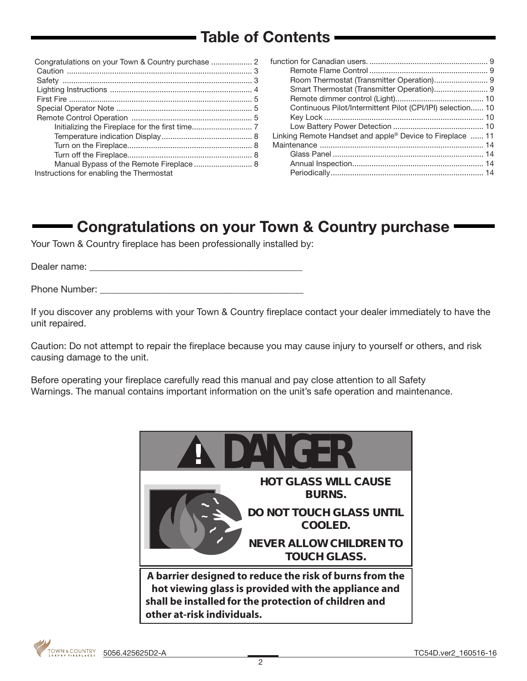# Table of Contents

| Manual Bypass of the Remote Fireplace 8  |  |
|------------------------------------------|--|
| Instructions for enabling the Thermostat |  |

| Continuous Pilot/Intermittent Pilot (CPI/IPI) selection 10            |  |
|-----------------------------------------------------------------------|--|
|                                                                       |  |
|                                                                       |  |
| Linking Remote Handset and apple <sup>®</sup> Device to Fireplace  11 |  |
|                                                                       |  |
|                                                                       |  |
|                                                                       |  |
|                                                                       |  |

# Congratulations on your Town & Country purchase

Your Town & Country fireplace has been professionally installed by:

Dealer name: \_\_\_\_\_\_\_\_\_\_\_\_\_\_\_\_\_\_\_\_\_\_\_\_\_\_\_\_\_\_\_\_\_\_\_\_\_\_\_\_\_\_\_\_\_

Phone Number:  $\blacksquare$ 

If you discover any problems with your Town & Country fireplace contact your dealer immediately to have the unit repaired.

Caution: Do not attempt to repair the fireplace because you may cause injury to yourself or others, and risk causing damage to the unit.

Before operating your fireplace carefully read this manual and pay close attention to all Safety Warnings. The manual contains important information on the unit's safe operation and maintenance.

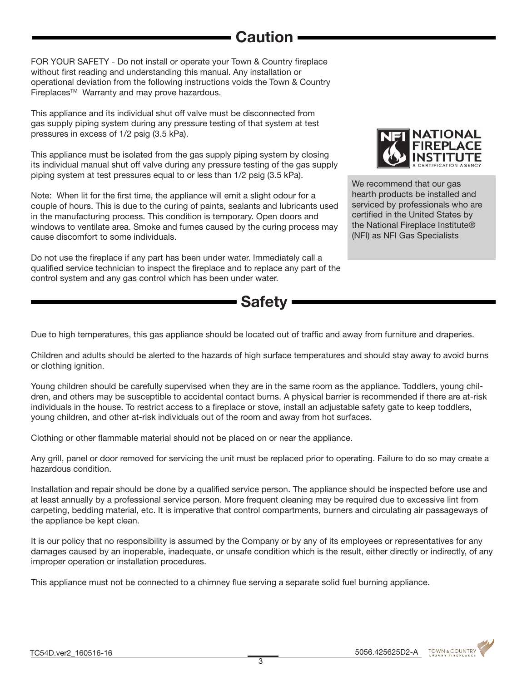# **Caution**

FOR YOUR SAFETY - Do not install or operate your Town & Country fireplace without first reading and understanding this manual. Any installation or operational deviation from the following instructions voids the Town & Country Fireplaces™ Warranty and may prove hazardous.

This appliance and its individual shut off valve must be disconnected from gas supply piping system during any pressure testing of that system at test pressures in excess of 1/2 psig (3.5 kPa).

This appliance must be isolated from the gas supply piping system by closing its individual manual shut off valve during any pressure testing of the gas supply piping system at test pressures equal to or less than 1/2 psig (3.5 kPa).

Note: When lit for the first time, the appliance will emit a slight odour for a couple of hours. This is due to the curing of paints, sealants and lubricants used in the manufacturing process. This condition is temporary. Open doors and windows to ventilate area. Smoke and fumes caused by the curing process may cause discomfort to some individuals.

Do not use the fireplace if any part has been under water. Immediately call a qualified service technician to inspect the fireplace and to replace any part of the control system and any gas control which has been under water.



We recommend that our gas hearth products be installed and serviced by professionals who are certified in the United States by the National Fireplace Institute® (NFI) as NFI Gas Specialists

**- Safety** 

Due to high temperatures, this gas appliance should be located out of traffic and away from furniture and draperies.

Children and adults should be alerted to the hazards of high surface temperatures and should stay away to avoid burns or clothing ignition.

Young children should be carefully supervised when they are in the same room as the appliance. Toddlers, young children, and others may be susceptible to accidental contact burns. A physical barrier is recommended if there are at-risk individuals in the house. To restrict access to a fireplace or stove, install an adjustable safety gate to keep toddlers, young children, and other at-risk individuals out of the room and away from hot surfaces.

Clothing or other flammable material should not be placed on or near the appliance.

Any grill, panel or door removed for servicing the unit must be replaced prior to operating. Failure to do so may create a hazardous condition.

Installation and repair should be done by a qualified service person. The appliance should be inspected before use and at least annually by a professional service person. More frequent cleaning may be required due to excessive lint from carpeting, bedding material, etc. It is imperative that control compartments, burners and circulating air passageways of the appliance be kept clean.

It is our policy that no responsibility is assumed by the Company or by any of its employees or representatives for any damages caused by an inoperable, inadequate, or unsafe condition which is the result, either directly or indirectly, of any improper operation or installation procedures.

This appliance must not be connected to a chimney flue serving a separate solid fuel burning appliance.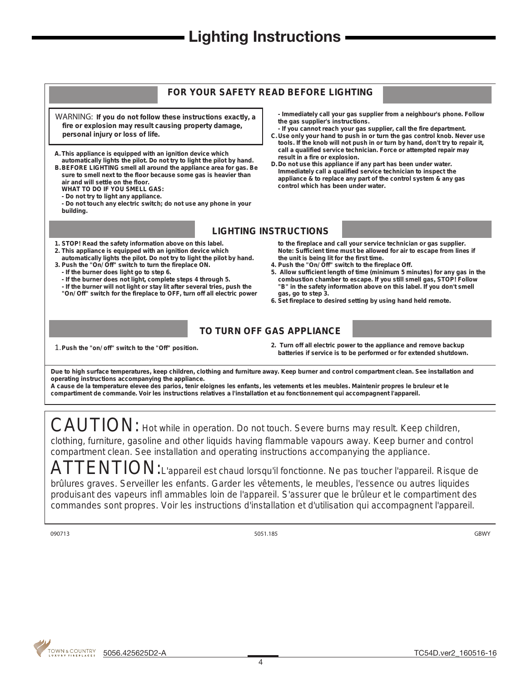# **- Lighting Instructions**



CAUTION: Hot while in operation. Do not touch. Severe burns may result. Keep children, clothing, furniture, gasoline and other liquids having flammable vapours away. Keep burner and control compartment clean. See installation and operating instructions accompanying the appliance.

ATTENTION: L'appareil est chaud lorsqu'il fonctionne. Ne pas toucher l'appareil. Risque de brûlures graves. Serveiller les enfants. Garder les vêtements, le meubles, l'essence ou autres liquides produisant des vapeurs infl ammables loin de l'appareil. S'assurer que le brûleur et le compartiment des commandes sont propres. Voir les instructions d'installation et d'utilisation qui accompagnent l'appareil.

**090713 5051.185 GBWY**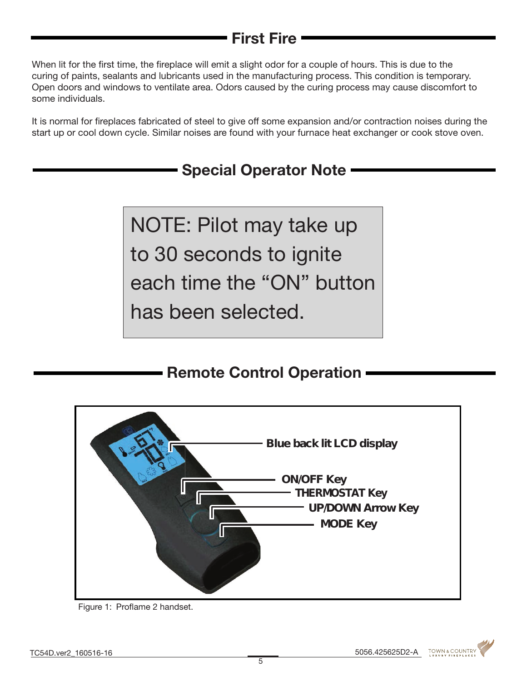# First Fire

When lit for the first time, the fireplace will emit a slight odor for a couple of hours. This is due to the curing of paints, sealants and lubricants used in the manufacturing process. This condition is temporary. Open doors and windows to ventilate area. Odors caused by the curing process may cause discomfort to some individuals.

It is normal for fireplaces fabricated of steel to give off some expansion and/or contraction noises during the start up or cool down cycle. Similar noises are found with your furnace heat exchanger or cook stove oven.

# Special Operator Note

NOTE: Pilot may take up to 30 seconds to ignite each time the "ON" button has been selected.

# **Remote Control Operation**



Figure 1: Proflame 2 handset.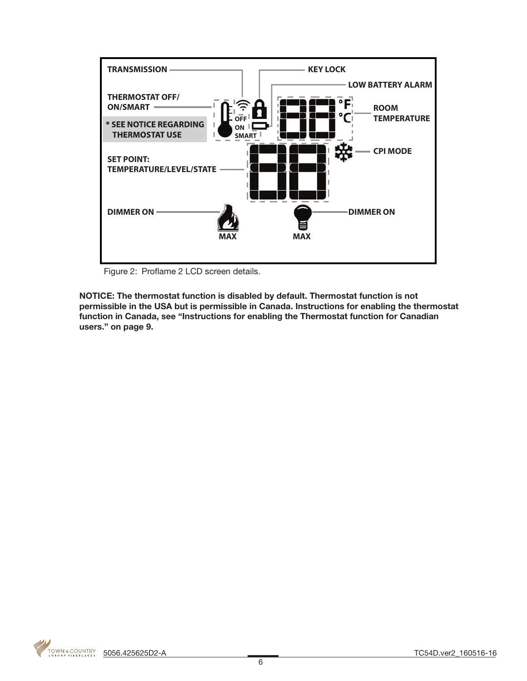

Figure 2: Proflame 2 LCD screen details.

NOTICE: The thermostat function is disabled by default. Thermostat function is not permissible in the USA but is permissible in Canada. Instructions for enabling the thermostat function in Canada, see "Instructions for enabling the Thermostat function for Canadian users." on page 9.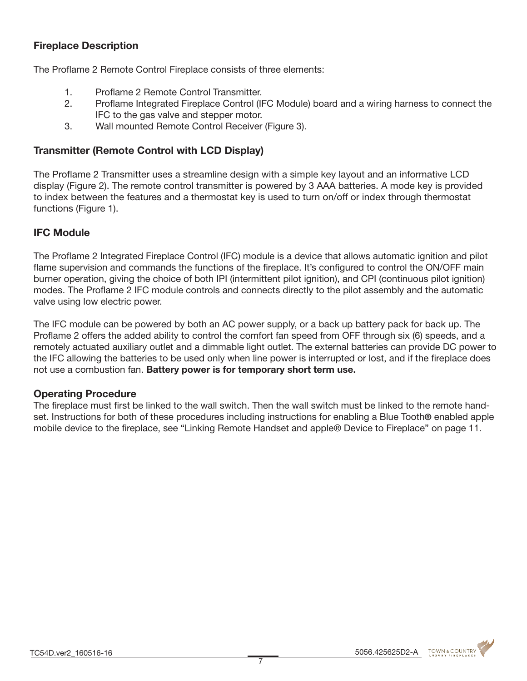# Fireplace Description

The Proflame 2 Remote Control Fireplace consists of three elements:

- 1. Proflame 2 Remote Control Transmitter.
- 2. Proflame Integrated Fireplace Control (IFC Module) board and a wiring harness to connect the IFC to the gas valve and stepper motor.
- 3. Wall mounted Remote Control Receiver (Figure 3).

# Transmitter (Remote Control with LCD Display)

The Proflame 2 Transmitter uses a streamline design with a simple key layout and an informative LCD display (Figure 2). The remote control transmitter is powered by 3 AAA batteries. A mode key is provided to index between the features and a thermostat key is used to turn on/off or index through thermostat functions (Figure 1).

# IFC Module

The Proflame 2 Integrated Fireplace Control (IFC) module is a device that allows automatic ignition and pilot flame supervision and commands the functions of the fireplace. It's configured to control the ON/OFF main burner operation, giving the choice of both IPI (intermittent pilot ignition), and CPI (continuous pilot ignition) modes. The Proflame 2 IFC module controls and connects directly to the pilot assembly and the automatic valve using low electric power.

The IFC module can be powered by both an AC power supply, or a back up battery pack for back up. The Proflame 2 offers the added ability to control the comfort fan speed from OFF through six (6) speeds, and a remotely actuated auxiliary outlet and a dimmable light outlet. The external batteries can provide DC power to the IFC allowing the batteries to be used only when line power is interrupted or lost, and if the fireplace does not use a combustion fan. Battery power is for temporary short term use.

### Operating Procedure

The fireplace must first be linked to the wall switch. Then the wall switch must be linked to the remote handset. Instructions for both of these procedures including instructions for enabling a Blue Tooth® enabled apple mobile device to the fireplace, see "Linking Remote Handset and apple® Device to Fireplace" on page 11.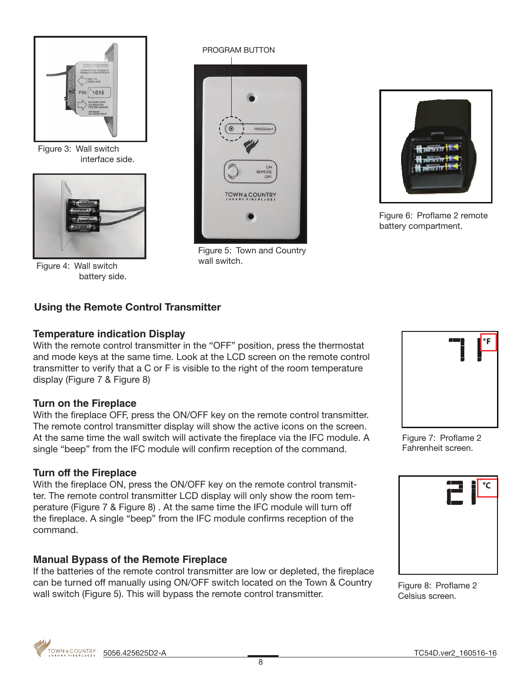

Figure 3: Wall switch interface side.



Figure 4: Wall switch battery side.

#### PROGRAM BUTTON



Figure 5: Town and Country wall switch.



Figure 6: Proflame 2 remote battery compartment.

# Using the Remote Control Transmitter

### **Temperature indication Display**

With the remote control transmitter in the "OFF" position, press the thermostat and mode keys at the same time. Look at the LCD screen on the remote control transmitter to verify that a C or F is visible to the right of the room temperature display (Figure 7 & Figure 8)

### **Turn on the Fireplace**

With the fireplace OFF, press the ON/OFF key on the remote control transmitter. The remote control transmitter display will show the active icons on the screen. At the same time the wall switch will activate the fireplace via the IFC module. A single "beep" from the IFC module will confirm reception of the command.

### **Turn off the Fireplace**

With the fireplace ON, press the ON/OFF key on the remote control transmitter. The remote control transmitter LCD display will only show the room temperature (Figure 7 & Figure 8) . At the same time the IFC module will turn off the fireplace. A single "beep" from the IFC module confirms reception of the command.

### **Manual Bypass of the Remote Fireplace**

If the batteries of the remote control transmitter are low or depleted, the fireplace can be turned off manually using ON/OFF switch located on the Town & Country wall switch (Figure 5). This will bypass the remote control transmitter.



Figure 7: Proflame 2 Fahrenheit screen.



Figure 8: Proflame 2 Celsius screen.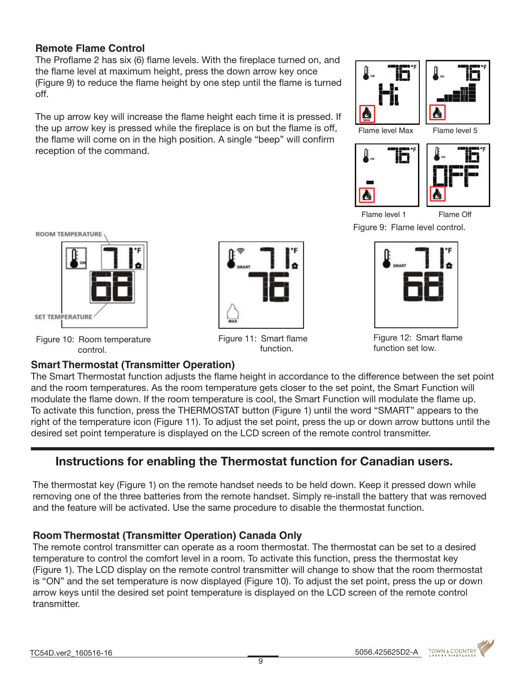# **Remote Flame Control**

The Proflame 2 has six (6) flame levels. With the fireplace turned on, and the flame level at maximum height, press the down arrow key once (Figure 9) to reduce the flame height by one step until the flame is turned off.

The up arrow key will increase the flame height each time it is pressed. If the up arrow key is pressed while the fireplace is on but the flame is off, the flame will come on in the high position. A single "beep" will confirm reception of the command.





i٣



Flame level 1

Flame Off

Figure 9: Flame level control.



Figure 10: Room temperature control.

# **Smart Thermostat (Transmitter Operation)**



Figure 11: Smart flame function.



Figure 12: Smart flame function set low.

The Smart Thermostat function adjusts the flame height in accordance to the difference between the set point and the room temperatures. As the room temperature gets closer to the set point, the Smart Function will modulate the flame down. If the room temperature is cool, the Smart Function will modulate the flame up. To activate this function, press the THERMOSTAT button (Figure 1) until the word "SMART" appears to the right of the temperature icon (Figure 11). To adjust the set point, press the up or down arrow buttons until the desired set point temperature is displayed on the LCD screen of the remote control transmitter.

# Instructions for enabling the Thermostat function for Canadian users.

The thermostat key (Figure 1) on the remote handset needs to be held down. Keep it pressed down while removing one of the three batteries from the remote handset. Simply re-install the battery that was removed and the feature will be activated. Use the same procedure to disable the thermostat function.

# **Room Thermostat (Transmitter Operation) Canada Only**

The remote control transmitter can operate as a room thermostat. The thermostat can be set to a desired temperature to control the comfort level in a room. To activate this function, press the thermostat key (Figure 1). The LCD display on the remote control transmitter will change to show that the room thermostat is "ON" and the set temperature is now displayed (Figure 10). To adjust the set point, press the up or down arrow keys until the desired set point temperature is displayed on the LCD screen of the remote control transmitter.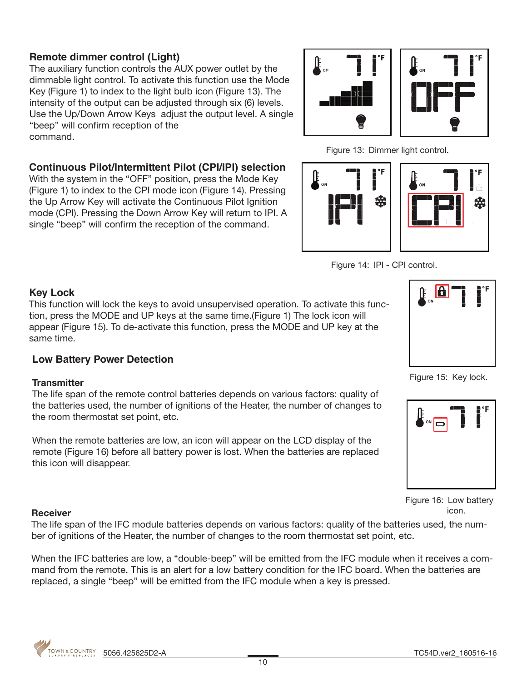# **Remote dimmer control (Light)**

The auxiliary function controls the AUX power outlet by the dimmable light control. To activate this function use the Mode Key (Figure 1) to index to the light bulb icon (Figure 13). The intensity of the output can be adjusted through six (6) levels. Use the Up/Down Arrow Keys adjust the output level. A single "beep" will confirm reception of the command.

### **Continuous Pilot/Intermittent Pilot (CPI/IPI) selection**

With the system in the "OFF" position, press the Mode Key (Figure 1) to index to the CPI mode icon (Figure 14). Pressing the Up Arrow Key will activate the Continuous Pilot Ignition mode (CPI). Pressing the Down Arrow Key will return to IPI. A single "beep" will confirm the reception of the command.











### **Key Lock**

This function will lock the keys to avoid unsupervised operation. To activate this function, press the MODE and UP keys at the same time.(Figure 1) The lock icon will appear (Figure 15). To de-activate this function, press the MODE and UP key at the same time.

### **Low Battery Power Detection**

#### **Transmitter**

The life span of the remote control batteries depends on various factors: quality of the batteries used, the number of ignitions of the Heater, the number of changes to the room thermostat set point, etc.

When the remote batteries are low, an icon will appear on the LCD display of the remote (Figure 16) before all battery power is lost. When the batteries are replaced this icon will disappear.



Figure 15: Key lock.



Figure 16: Low battery icon.

#### **Receiver**

The life span of the IFC module batteries depends on various factors: quality of the batteries used, the number of ignitions of the Heater, the number of changes to the room thermostat set point, etc.

When the IFC batteries are low, a "double-beep" will be emitted from the IFC module when it receives a command from the remote. This is an alert for a low battery condition for the IFC board. When the batteries are replaced, a single "beep" will be emitted from the IFC module when a key is pressed.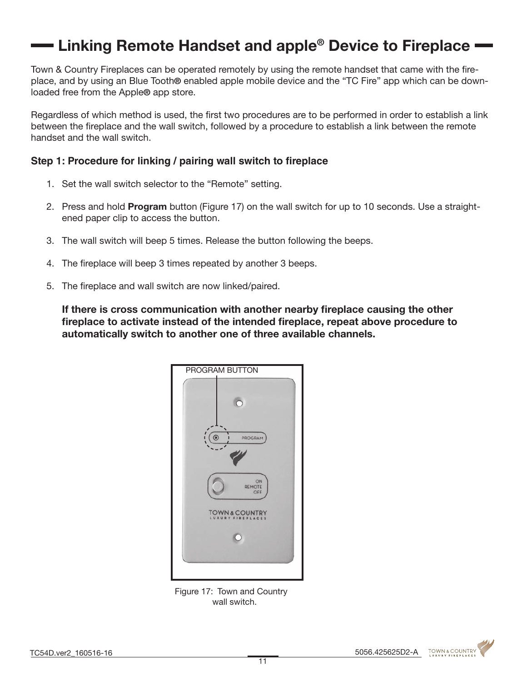# **— Linking Remote Handset and apple<sup>®</sup> Device to Fireplace**

Town & Country Fireplaces can be operated remotely by using the remote handset that came with the fireplace, and by using an Blue Tooth® enabled apple mobile device and the "TC Fire" app which can be downloaded free from the Apple® app store.

Regardless of which method is used, the first two procedures are to be performed in order to establish a link between the fireplace and the wall switch, followed by a procedure to establish a link between the remote handset and the wall switch.

#### Step 1: Procedure for linking / pairing wall switch to fireplace

- 1. Set the wall switch selector to the "Remote" setting.
- 2. Press and hold **Program** button (Figure 17) on the wall switch for up to 10 seconds. Use a straightened paper clip to access the button.
- 3. The wall switch will beep 5 times. Release the button following the beeps.
- 4. The fireplace will beep 3 times repeated by another 3 beeps.
- 5. The fireplace and wall switch are now linked/paired.

If there is cross communication with another nearby fireplace causing the other fireplace to activate instead of the intended fireplace, repeat above procedure to automatically switch to another one of three available channels.



Figure 17: Town and Country wall switch.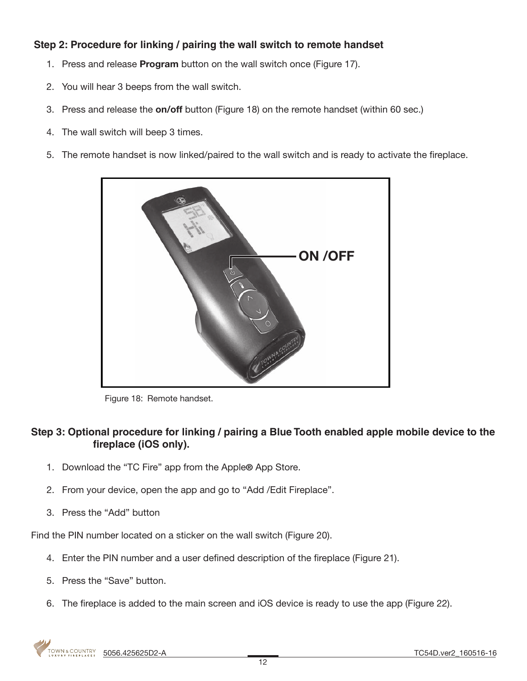# **Step 2: Procedure for linking / pairing the wall switch to remote handset**

- 1. Press and release **Program** button on the wall switch once (Figure 17).
- 2. You will hear 3 beeps from the wall switch.
- 3. Press and release the on/off button (Figure 18) on the remote handset (within 60 sec.)
- 4. The wall switch will beep 3 times.
- 5. The remote handset is now linked/paired to the wall switch and is ready to activate the fireplace.



Figure 18: Remote handset.

### **Step 3: Optional procedure for linking / pairing a Blue Tooth enabled apple mobile device to the**  fireplace (iOS only).

- 1. Download the "TC Fire" app from the Apple® App Store.
- 2. From your device, open the app and go to "Add /Edit Fireplace".
- 3. Press the "Add" button

Find the PIN number located on a sticker on the wall switch (Figure 20).

- 4. Enter the PIN number and a user defined description of the fireplace (Figure 21).
- 5. Press the "Save" button.
- 6. The fireplace is added to the main screen and iOS device is ready to use the app (Figure 22).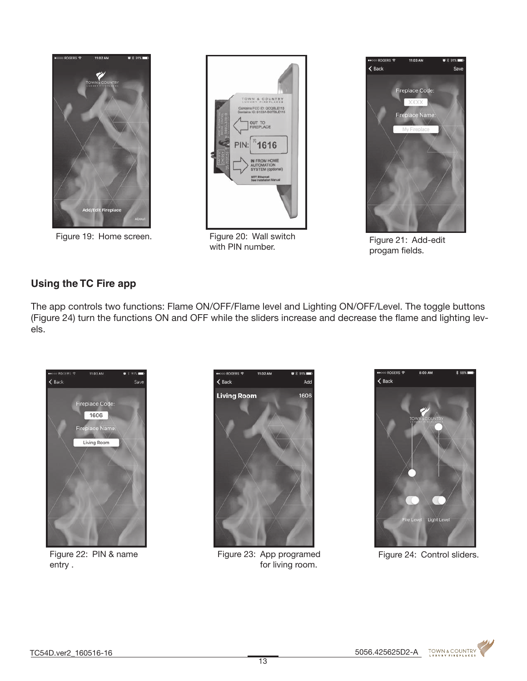

Figure 19: Home screen. Figure 20: Wall switch



with PIN number.



Figure 21: Add-edit progam fields.

# **Using the TC Fire app**

The app controls two functions: Flame ON/OFF/Flame level and Lighting ON/OFF/Level. The toggle buttons (Figure 24) turn the functions ON and OFF while the sliders increase and decrease the flame and lighting levels.



Figure 22: PIN & name entry .



Figure 23: App programed for living room.



Figure 24: Control sliders.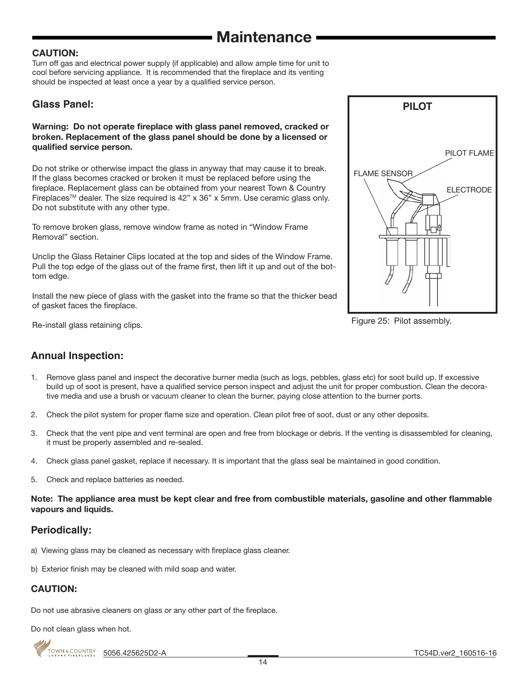#### CAUTION:

Turn off gas and electrical power supply (if applicable) and allow ample time for unit to cool before servicing appliance. It is recommended that the fireplace and its venting should be inspected at least once a year by a qualified service person.

### **Glass Panel:**

#### Warning: Do not operate fireplace with glass panel removed, cracked or broken. Replacement of the glass panel should be done by a licensed or qualified service person.

Do not strike or otherwise impact the glass in anyway that may cause it to break. If the glass becomes cracked or broken it must be replaced before using the fireplace. Replacement glass can be obtained from your nearest Town & Country Fireplaces™ dealer. The size required is 42" x 36" x 5mm. Use ceramic glass only. Do not substitute with any other type.

To remove broken glass, remove window frame as noted in "Window Frame Removal" section.

Unclip the Glass Retainer Clips located at the top and sides of the Window Frame. Pull the top edge of the glass out of the frame first, then lift it up and out of the bottom edge.

Install the new piece of glass with the gasket into the frame so that the thicker bead of gasket faces the fireplace.



Figure 25: Pilot assembly.

Re-install glass retaining clips.

# **Annual Inspection:**

- 1. Remove glass panel and inspect the decorative burner media (such as logs, pebbles, glass etc) for soot build up. If excessive build up of soot is present, have a qualified service person inspect and adjust the unit for proper combustion. Clean the decorative media and use a brush or vacuum cleaner to clean the burner, paying close attention to the burner ports.
- 2. Check the pilot system for proper flame size and operation. Clean pilot free of soot, dust or any other deposits.
- 3. Check that the vent pipe and vent terminal are open and free from blockage or debris. If the venting is disassembled for cleaning, it must be properly assembled and re-sealed.
- 4. Check glass panel gasket, replace if necessary. It is important that the glass seal be maintained in good condition.
- 5. Check and replace batteries as needed.

#### Note: The appliance area must be kept clear and free from combustible materials, gasoline and other flammable vapours and liquids.

### **Periodically:**

- a) Viewing glass may be cleaned as necessary with fireplace glass cleaner.
- b) Exterior finish may be cleaned with mild soap and water.

# CAUTION:

Do not use abrasive cleaners on glass or any other part of the fireplace.

Do not clean glass when hot.

5056.425625D2-A TC54D.ver2\_160516-16